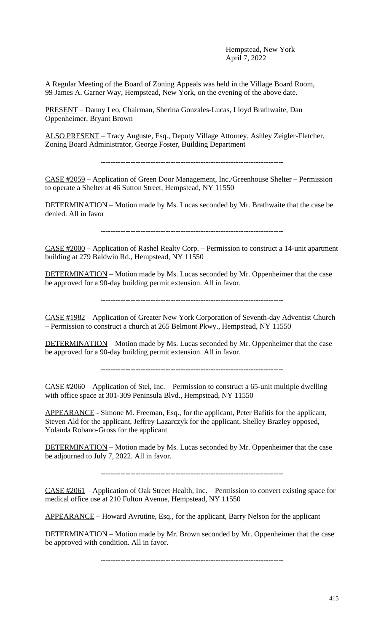Hempstead, New York April 7, 2022

A Regular Meeting of the Board of Zoning Appeals was held in the Village Board Room, 99 James A. Garner Way, Hempstead, New York, on the evening of the above date.

PRESENT – Danny Leo, Chairman, Sherina Gonzales-Lucas, Lloyd Brathwaite, Dan Oppenheimer, Bryant Brown

ALSO PRESENT – Tracy Auguste, Esq., Deputy Village Attorney, Ashley Zeigler-Fletcher, Zoning Board Administrator, George Foster, Building Department

CASE #2059 – Application of Green Door Management, Inc./Greenhouse Shelter – Permission to operate a Shelter at 46 Sutton Street, Hempstead, NY 11550

DETERMINATION – Motion made by Ms. Lucas seconded by Mr. Brathwaite that the case be denied. All in favor

CASE #2000 – Application of Rashel Realty Corp. – Permission to construct a 14-unit apartment building at 279 Baldwin Rd., Hempstead, NY 11550

DETERMINATION – Motion made by Ms. Lucas seconded by Mr. Oppenheimer that the case be approved for a 90-day building permit extension. All in favor.

-------------------------------------------------------------------------

CASE #1982 – Application of Greater New York Corporation of Seventh-day Adventist Church – Permission to construct a church at 265 Belmont Pkwy., Hempstead, NY 11550

DETERMINATION – Motion made by Ms. Lucas seconded by Mr. Oppenheimer that the case be approved for a 90-day building permit extension. All in favor.

-------------------------------------------------------------------------

CASE #2060 – Application of Stel, Inc. – Permission to construct a 65-unit multiple dwelling with office space at 301-309 Peninsula Blvd., Hempstead, NY 11550

APPEARANCE - Simone M. Freeman, Esq., for the applicant, Peter Bafitis for the applicant, Steven Ald for the applicant, Jeffrey Lazarczyk for the applicant, Shelley Brazley opposed, Yolanda Robano-Gross for the applicant

DETERMINATION – Motion made by Ms. Lucas seconded by Mr. Oppenheimer that the case be adjourned to July 7, 2022. All in favor.

-------------------------------------------------------------------------

CASE #2061 – Application of Oak Street Health, Inc. – Permission to convert existing space for medical office use at 210 Fulton Avenue, Hempstead, NY 11550

APPEARANCE – Howard Avrutine, Esq., for the applicant, Barry Nelson for the applicant

DETERMINATION – Motion made by Mr. Brown seconded by Mr. Oppenheimer that the case be approved with condition. All in favor.

-------------------------------------------------------------------------